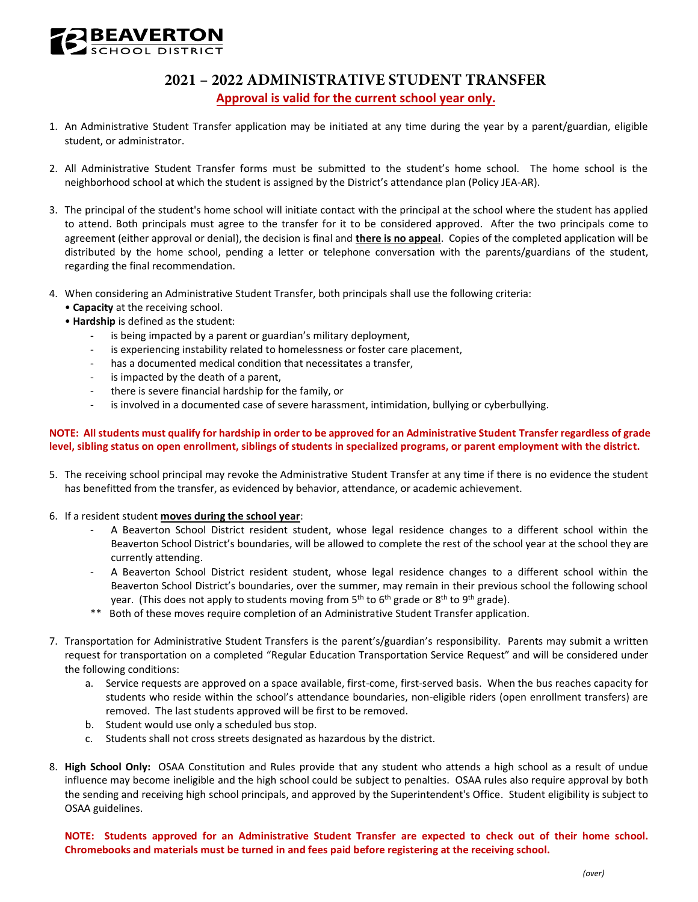

## **2021 – 2022 ADMINISTRATIVE STUDENT TRANSFER Approval is valid for the current school year only.**

- 1. An Administrative Student Transfer application may be initiated at any time during the year by a parent/guardian, eligible student, or administrator.
- 2. All Administrative Student Transfer forms must be submitted to the student's home school. The home school is the neighborhood school at which the student is assigned by the District's attendance plan (Policy JEA-AR).
- 3. The principal of the student's home school will initiate contact with the principal at the school where the student has applied to attend. Both principals must agree to the transfer for it to be considered approved. After the two principals come to agreement (either approval or denial), the decision is final and **there is no appeal**. Copies of the completed application will be distributed by the home school, pending a letter or telephone conversation with the parents/guardians of the student, regarding the final recommendation.
- 4. When considering an Administrative Student Transfer, both principals shall use the following criteria:
	- **Capacity** at the receiving school.
	- **Hardship** is defined as the student:
		- is being impacted by a parent or guardian's military deployment,
		- is experiencing instability related to homelessness or foster care placement,
		- has a documented medical condition that necessitates a transfer,
		- is impacted by the death of a parent,
		- there is severe financial hardship for the family, or
		- is involved in a documented case of severe harassment, intimidation, bullying or cyberbullying.

## **NOTE: All students must qualify for hardship in order to be approved for an Administrative Student Transfer regardless of grade level, sibling status on open enrollment, siblings of students in specialized programs, or parent employment with the district.**

- 5. The receiving school principal may revoke the Administrative Student Transfer at any time if there is no evidence the student has benefitted from the transfer, as evidenced by behavior, attendance, or academic achievement.
- 6. If a resident student **moves during the school year**:
	- - A Beaverton School District resident student, whose legal residence changes to a different school within the Beaverton School District's boundaries, will be allowed to complete the rest of the school year at the school they are currently attending.
	- - A Beaverton School District resident student, whose legal residence changes to a different school within the Beaverton School District's boundaries, over the summer, may remain in their previous school the following school year. (This does not apply to students moving from 5<sup>th</sup> to 6<sup>th</sup> grade or 8<sup>th</sup> to 9<sup>th</sup> grade).
	- $***$ Both of these moves require completion of an Administrative Student Transfer application.
- 7. Transportation for Administrative Student Transfers is the parent's/guardian's responsibility. Parents may submit a written request for transportation on a completed "Regular Education Transportation Service Request" and will be considered under the following conditions:
	- a. Service requests are approved on a space available, first-come, first-served basis. When the bus reaches capacity for students who reside within the school's attendance boundaries, non-eligible riders (open enrollment transfers) are removed. The last students approved will be first to be removed.
	- b. Student would use only a scheduled bus stop.
	- c. Students shall not cross streets designated as hazardous by the district.
- 8. **High School Only:** OSAA Constitution and Rules provide that any student who attends a high school as a result of undue influence may become ineligible and the high school could be subject to penalties. OSAA rules also require approval by both the sending and receiving high school principals, and approved by the Superintendent's Office. Student eligibility is subject to OSAA guidelines.

 **NOTE: Students approved for an Administrative Student Transfer are expected to check out of their home school. Chromebooks and materials must be turned in and fees paid before registering at the receiving school.**